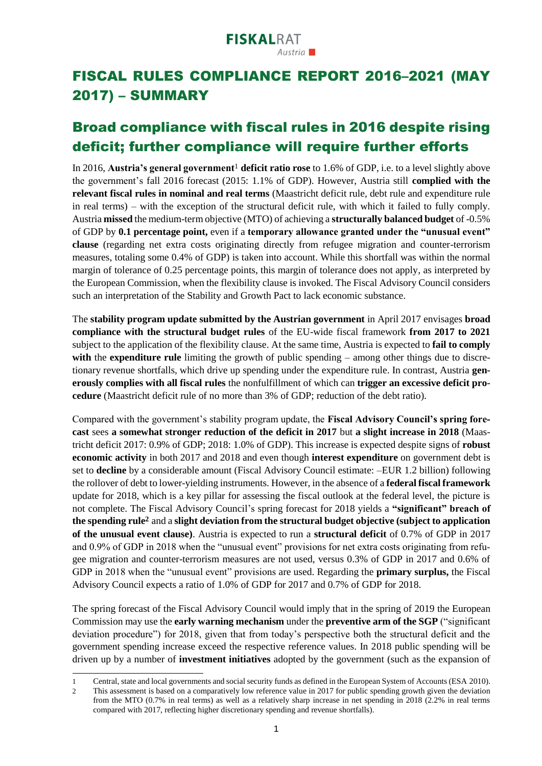## FISCAL RULES COMPLIANCE REPORT 2016–2021 (MAY 2017) – SUMMARY

## Broad compliance with fiscal rules in 2016 despite rising deficit; further compliance will require further efforts

In 2016, **Austria's general government**<sup>1</sup> **deficit ratio rose** to 1.6% of GDP, i.e. to a level slightly above the government's fall 2016 forecast (2015: 1.1% of GDP). However, Austria still **complied with the relevant fiscal rules in nominal and real terms** (Maastricht deficit rule, debt rule and expenditure rule in real terms) – with the exception of the structural deficit rule, with which it failed to fully comply. Austria **missed** the medium-term objective (MTO) of achieving a **structurally balanced budget** of -0.5% of GDP by **0.1 percentage point,** even if a **temporary allowance granted under the "unusual event" clause** (regarding net extra costs originating directly from refugee migration and counter-terrorism measures, totaling some 0.4% of GDP) is taken into account. While this shortfall was within the normal margin of tolerance of 0.25 percentage points, this margin of tolerance does not apply, as interpreted by the European Commission, when the flexibility clause is invoked. The Fiscal Advisory Council considers such an interpretation of the Stability and Growth Pact to lack economic substance.

The **stability program update submitted by the Austrian government** in April 2017 envisages **broad compliance with the structural budget rules** of the EU-wide fiscal framework **from 2017 to 2021** subject to the application of the flexibility clause. At the same time, Austria is expected to **fail to comply with** the **expenditure rule** limiting the growth of public spending – among other things due to discretionary revenue shortfalls, which drive up spending under the expenditure rule. In contrast, Austria **generously complies with all fiscal rules** the nonfulfillment of which can **trigger an excessive deficit procedure** (Maastricht deficit rule of no more than 3% of GDP; reduction of the debt ratio).

Compared with the government's stability program update, the **Fiscal Advisory Council's spring forecast** sees **a somewhat stronger reduction of the deficit in 2017** but **a slight increase in 2018** (Maastricht deficit 2017: 0.9% of GDP; 2018: 1.0% of GDP). This increase is expected despite signs of **robust economic activity** in both 2017 and 2018 and even though **interest expenditure** on government debt is set to **decline** by a considerable amount (Fiscal Advisory Council estimate: –EUR 1.2 billion) following the rollover of debt to lower-yielding instruments. However, in the absence of a **federal fiscal framework**  update for 2018, which is a key pillar for assessing the fiscal outlook at the federal level, the picture is not complete. The Fiscal Advisory Council's spring forecast for 2018 yields a **"significant" breach of the spending rule<sup>2</sup>** and a **slight deviation from the structural budget objective (subject to application of the unusual event clause)**. Austria is expected to run a **structural deficit** of 0.7% of GDP in 2017 and 0.9% of GDP in 2018 when the "unusual event" provisions for net extra costs originating from refugee migration and counter-terrorism measures are not used, versus 0.3% of GDP in 2017 and 0.6% of GDP in 2018 when the "unusual event" provisions are used. Regarding the **primary surplus,** the Fiscal Advisory Council expects a ratio of 1.0% of GDP for 2017 and 0.7% of GDP for 2018.

The spring forecast of the Fiscal Advisory Council would imply that in the spring of 2019 the European Commission may use the **early warning mechanism** under the **preventive arm of the SGP** ("significant deviation procedure") for 2018, given that from today's perspective both the structural deficit and the government spending increase exceed the respective reference values. In 2018 public spending will be driven up by a number of **investment initiatives** adopted by the government (such as the expansion of

1

<sup>1</sup> Central, state and local governments and social security funds as defined in the European System of Accounts (ESA 2010).

<sup>2</sup> This assessment is based on a comparatively low reference value in 2017 for public spending growth given the deviation from the MTO (0.7% in real terms) as well as a relatively sharp increase in net spending in 2018 (2.2% in real terms compared with 2017, reflecting higher discretionary spending and revenue shortfalls).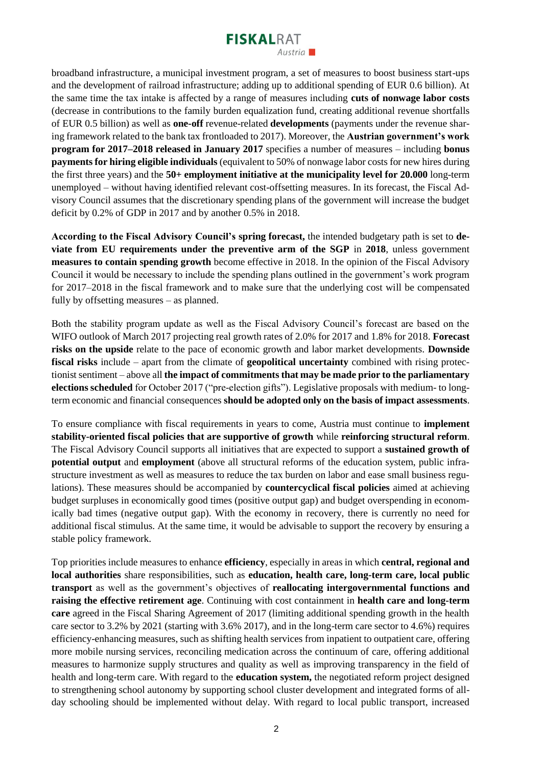

broadband infrastructure, a municipal investment program, a set of measures to boost business start-ups and the development of railroad infrastructure; adding up to additional spending of EUR 0.6 billion). At the same time the tax intake is affected by a range of measures including **cuts of nonwage labor costs** (decrease in contributions to the family burden equalization fund, creating additional revenue shortfalls of EUR 0.5 billion) as well as **one-off** revenue-related **developments** (payments under the revenue sharing framework related to the bank tax frontloaded to 2017). Moreover, the **Austrian government's work program for 2017–2018 released in January 2017** specifies a number of measures – including **bonus payments for hiring eligible individuals** (equivalent to 50% of nonwage labor costs for new hires during the first three years) and the **50+ employment initiative at the municipality level for 20.000** long-term unemployed – without having identified relevant cost-offsetting measures. In its forecast, the Fiscal Advisory Council assumes that the discretionary spending plans of the government will increase the budget deficit by 0.2% of GDP in 2017 and by another 0.5% in 2018.

**According to the Fiscal Advisory Council's spring forecast,** the intended budgetary path is set to **deviate from EU requirements under the preventive arm of the SGP** in **2018**, unless government **measures to contain spending growth** become effective in 2018. In the opinion of the Fiscal Advisory Council it would be necessary to include the spending plans outlined in the government's work program for 2017–2018 in the fiscal framework and to make sure that the underlying cost will be compensated fully by offsetting measures – as planned.

Both the stability program update as well as the Fiscal Advisory Council's forecast are based on the WIFO outlook of March 2017 projecting real growth rates of 2.0% for 2017 and 1.8% for 2018. **Forecast risks on the upside** relate to the pace of economic growth and labor market developments. **Downside fiscal risks** include – apart from the climate of **geopolitical uncertainty** combined with rising protectionist sentiment – above all **the impact of commitments that may be made prior to the parliamentary elections scheduled** for October 2017 ("pre-election gifts"). Legislative proposals with medium- to longterm economic and financial consequences **should be adopted only on the basis of impact assessments**.

To ensure compliance with fiscal requirements in years to come, Austria must continue to **implement stability-oriented fiscal policies that are supportive of growth** while **reinforcing structural reform**. The Fiscal Advisory Council supports all initiatives that are expected to support a **sustained growth of potential output** and **employment** (above all structural reforms of the education system, public infrastructure investment as well as measures to reduce the tax burden on labor and ease small business regulations). These measures should be accompanied by **countercyclical fiscal policies** aimed at achieving budget surpluses in economically good times (positive output gap) and budget overspending in economically bad times (negative output gap). With the economy in recovery, there is currently no need for additional fiscal stimulus. At the same time, it would be advisable to support the recovery by ensuring a stable policy framework.

Top priorities include measures to enhance **efficiency**, especially in areas in which **central, regional and local authorities** share responsibilities, such as **education, health care, long-term care, local public transport** as well as the government's objectives of **reallocating intergovernmental functions and raising the effective retirement age**. Continuing with cost containment in **health care and long-term care** agreed in the Fiscal Sharing Agreement of 2017 (limiting additional spending growth in the health care sector to 3.2% by 2021 (starting with 3.6% 2017), and in the long-term care sector to 4.6%) requires efficiency-enhancing measures, such as shifting health services from inpatient to outpatient care, offering more mobile nursing services, reconciling medication across the continuum of care, offering additional measures to harmonize supply structures and quality as well as improving transparency in the field of health and long-term care. With regard to the **education system,** the negotiated reform project designed to strengthening school autonomy by supporting school cluster development and integrated forms of allday schooling should be implemented without delay. With regard to local public transport, increased